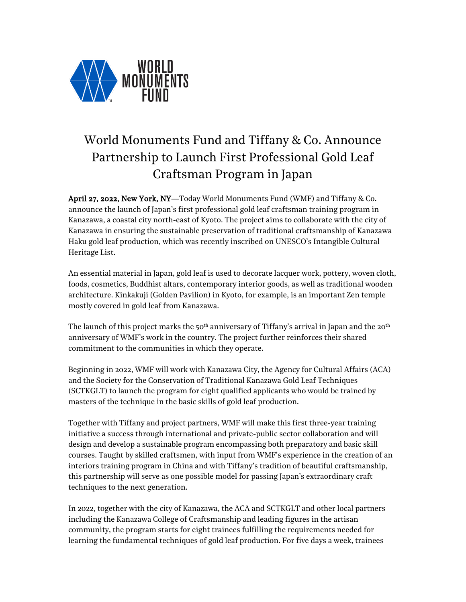

## World Monuments Fund and Tiffany & Co. Announce Partnership to Launch First Professional Gold Leaf Craftsman Program in Japan

April 27, 2022, New York, NY—Today World Monuments Fund (WMF) and Tiffany & Co. announce the launch of Japan's first professional gold leaf craftsman training program in Kanazawa, a coastal city north-east of Kyoto. The project aims to collaborate with the city of Kanazawa in ensuring the sustainable preservation of traditional craftsmanship of Kanazawa Haku gold leaf production, which was recently inscribed on UNESCO's Intangible Cultural Heritage List.

An essential material in Japan, gold leaf is used to decorate lacquer work, pottery, woven cloth, foods, cosmetics, Buddhist altars, contemporary interior goods, as well as traditional wooden architecture. Kinkakuji (Golden Pavilion) in Kyoto, for example, is an important Zen temple mostly covered in gold leaf from Kanazawa.

The launch of this project marks the 50<sup>th</sup> anniversary of Tiffany's arrival in Japan and the 20<sup>th</sup> anniversary of WMF's work in the country. The project further reinforces their shared commitment to the communities in which they operate.

Beginning in 2022, WMF will work with Kanazawa City, the Agency for Cultural Affairs (ACA) and the Society for the Conservation of Traditional Kanazawa Gold Leaf Techniques (SCTKGLT) to launch the program for eight qualified applicants who would be trained by masters of the technique in the basic skills of gold leaf production.

Together with Tiffany and project partners, WMF will make this first three-year training initiative a success through international and private-public sector collaboration and will design and develop a sustainable program encompassing both preparatory and basic skill courses. Taught by skilled craftsmen, with input from WMF's experience in the creation of an interiors training program in China and with Tiffany's tradition of beautiful craftsmanship, this partnership will serve as one possible model for passing Japan's extraordinary craft techniques to the next generation.

In 2022, together with the city of Kanazawa, the ACA and SCTKGLT and other local partners including the Kanazawa College of Craftsmanship and leading figures in the artisan community, the program starts for eight trainees fulfilling the requirements needed for learning the fundamental techniques of gold leaf production. For five days a week, trainees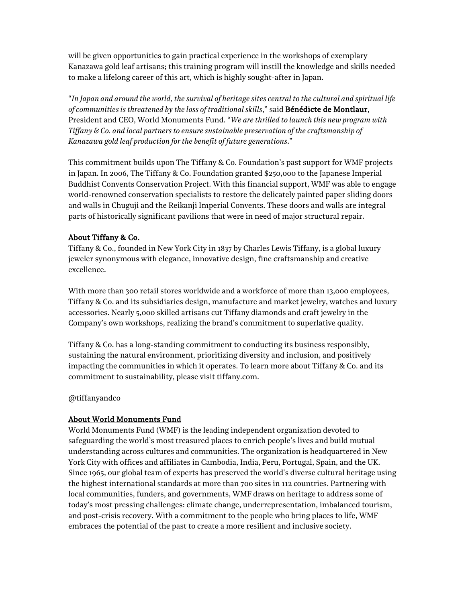will be given opportunities to gain practical experience in the workshops of exemplary Kanazawa gold leaf artisans; this training program will instill the knowledge and skills needed to make a lifelong career of this art, which is highly sought-after in Japan.

"*In Japan and around the world, the survival of heritage sites central to the cultural and spiritual life of communities is threatened by the loss of traditional skills*," said Bénédicte de Montlaur, President and CEO, World Monuments Fund. "*We are thrilled to launch this new program with Tiffany & Co. and local partners to ensure sustainable preservation of the craftsmanship of Kanazawa gold leaf production for the benefit of future generations*."

This commitment builds upon The Tiffany & Co. Foundation's past support for WMF projects in Japan. In 2006, The Tiffany & Co. Foundation granted \$250,000 to the Japanese Imperial Buddhist Convents Conservation Project. With this financial support, WMF was able to engage world-renowned conservation specialists to restore the delicately painted paper sliding doors and walls in Chuguji and the Reikanji Imperial Convents. These doors and walls are integral parts of historically significant pavilions that were in need of major structural repair.

## About Tiffany & Co.

Tiffany & Co., founded in New York City in 1837 by Charles Lewis Tiffany, is a global luxury jeweler synonymous with elegance, innovative design, fine craftsmanship and creative excellence.

With more than 300 retail stores worldwide and a workforce of more than 13,000 employees, Tiffany & Co. and its subsidiaries design, manufacture and market jewelry, watches and luxury accessories. Nearly 5,000 skilled artisans cut Tiffany diamonds and craft jewelry in the Company's own workshops, realizing the brand's commitment to superlative quality.

Tiffany & Co. has a long-standing commitment to conducting its business responsibly, sustaining the natural environment, prioritizing diversity and inclusion, and positively impacting the communities in which it operates. To learn more about Tiffany & Co. and its commitment to sustainability, please visit tiffany.com.

@tiffanyandco

## About World Monuments Fund

World Monuments Fund (WMF) is the leading independent organization devoted to safeguarding the world's most treasured places to enrich people's lives and build mutual understanding across cultures and communities. The organization is headquartered in New York City with offices and affiliates in Cambodia, India, Peru, Portugal, Spain, and the UK. Since 1965, our global team of experts has preserved the world's diverse cultural heritage using the highest international standards at more than 700 sites in 112 countries. Partnering with local communities, funders, and governments, WMF draws on heritage to address some of today's most pressing challenges: climate change, underrepresentation, imbalanced tourism, and post-crisis recovery. With a commitment to the people who bring places to life, WMF embraces the potential of the past to create a more resilient and inclusive society.